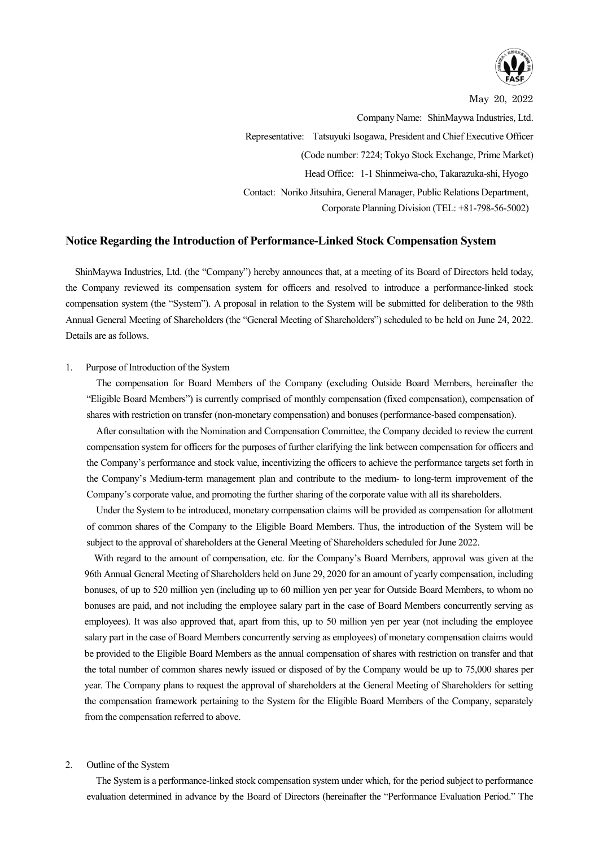

May 20, 2022

Company Name: ShinMaywa Industries, Ltd. Representative: Tatsuyuki Isogawa, President and Chief Executive Officer (Code number: 7224; Tokyo Stock Exchange, Prime Market) Head Office: 1-1 Shinmeiwa-cho, Takarazuka-shi, Hyogo Contact: Noriko Jitsuhira, General Manager, Public Relations Department, Corporate Planning Division (TEL: +81-798-56-5002)

## **Notice Regarding the Introduction of Performance-Linked Stock Compensation System**

ShinMaywa Industries, Ltd. (the "Company") hereby announces that, at a meeting of its Board of Directors held today, the Company reviewed its compensation system for officers and resolved to introduce a performance-linked stock compensation system (the "System"). A proposal in relation to the System will be submitted for deliberation to the 98th Annual General Meeting of Shareholders (the "General Meeting of Shareholders") scheduled to be held on June 24, 2022. Details are as follows.

## 1. Purpose of Introduction of the System

The compensation for Board Members of the Company (excluding Outside Board Members, hereinafter the "Eligible Board Members") is currently comprised of monthly compensation (fixed compensation), compensation of shares with restriction on transfer (non-monetary compensation) and bonuses (performance-based compensation).

After consultation with the Nomination and Compensation Committee, the Company decided to review the current compensation system for officers for the purposes of further clarifying the link between compensation for officers and the Company's performance and stock value, incentivizing the officers to achieve the performance targets set forth in the Company's Medium-term management plan and contribute to the medium- to long-term improvement of the Company's corporate value, and promoting the further sharing of the corporate value with all its shareholders.

Under the System to be introduced, monetary compensation claims will be provided as compensation for allotment of common shares of the Company to the Eligible Board Members. Thus, the introduction of the System will be subject to the approval of shareholders at the General Meeting of Shareholders scheduled for June 2022.

With regard to the amount of compensation, etc. for the Company's Board Members, approval was given at the 96th Annual General Meeting of Shareholders held on June 29, 2020 for an amount of yearly compensation, including bonuses, of up to 520 million yen (including up to 60 million yen per year for Outside Board Members, to whom no bonuses are paid, and not including the employee salary part in the case of Board Members concurrently serving as employees). It was also approved that, apart from this, up to 50 million yen per year (not including the employee salary part in the case of Board Members concurrently serving as employees) of monetary compensation claims would be provided to the Eligible Board Members as the annual compensation of shares with restriction on transfer and that the total number of common shares newly issued or disposed of by the Company would be up to 75,000 shares per year. The Company plans to request the approval of shareholders at the General Meeting of Shareholders for setting the compensation framework pertaining to the System for the Eligible Board Members of the Company, separately from the compensation referred to above.

## 2. Outline of the System

The System is a performance-linked stock compensation system under which, for the period subject to performance evaluation determined in advance by the Board of Directors (hereinafter the "Performance Evaluation Period." The